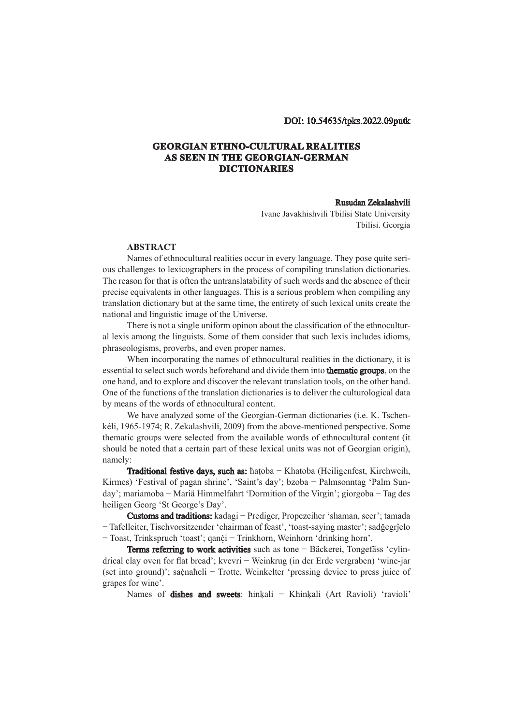## DOI: 10.54635/tpks.2022.09putk

## **GEORGIAN ETHNO-CULTURAL REALITIES AS SEEN IN THE GEORGIAN-GERMAN DICTIONARIES**

## Rusudan Zekalashvili

Ivane Javakhishvili Tbilisi State University Tbilisi. Georgia

## **ABSTRACT**

Names of ethnocultural realities occur in every language. They pose quite serious challenges to lexicographers in the process of compiling translation dictionaries. The reason for that is often the untranslatability of such words and the absence of their precise equivalents in other languages. This is a serious problem when compiling any translation dictionary but at the same time, the entirety of such lexical units create the national and linguistic image of the Universe.

There is not a single uniform opinon about the classification of the ethnocultural lexis among the linguists. Some of them consider that such lexis includes idioms, phraseologisms, proverbs, and even proper names.

When incorporating the names of ethnocultural realities in the dictionary, it is essential to select such words beforehand and divide them into **thematic groups**, on the one hand, and to explore and discover the relevant translation tools, on the other hand. One of the functions of the translation dictionaries is to deliver the culturological data by means of the words of ethnocultural content.

We have analyzed some of the Georgian-German dictionaries (i.e. K. Tschenkéli, 1965-1974; R. Zekalashvili, 2009) from the above-mentioned perspective. Some thematic groups were selected from the available words of ethnocultural content (it should be noted that a certain part of these lexical units was not of Georgian origin), namely:

Traditional festive days, such as: ħaṭoba − Khatoba (Heiligenfest, Kirchweih, Kirmes) 'Festival of pagan shrine', 'Saint's day'; bzoba − Palmsonntag 'Palm Sunday'; mariamoba − Mariä Himmelfahrt 'Dormition of the Virgin'; giorgoba − Tag des heiligen Georg 'St George's Day'.

Customs and traditions: kadagi − Prediger, Propezeiher 'shaman, seer'; tamada − Tafelleiter, Tischvorsitzender 'chairman of feast', 'toast-saying master'; sadğegrĵelo − Toast, Trinkspruch 'toast'; qanċi − Trinkhorn, Weinhorn 'drinking horn'. ̣

Terms referring to work activities such as tone − Bäckerei, Tongefäss 'cylindrical clay oven for flat bread'; kvevri − Weinkrug (in der Erde vergraben) 'wine-jar (set into ground)'; saċnaħeli − Trotte, Weinkelter 'pressing device to press juice of ̣ grapes for wine'.

Names of **dishes and sweets**: hinķali − Khinķali (Art Ravioli) 'ravioli'